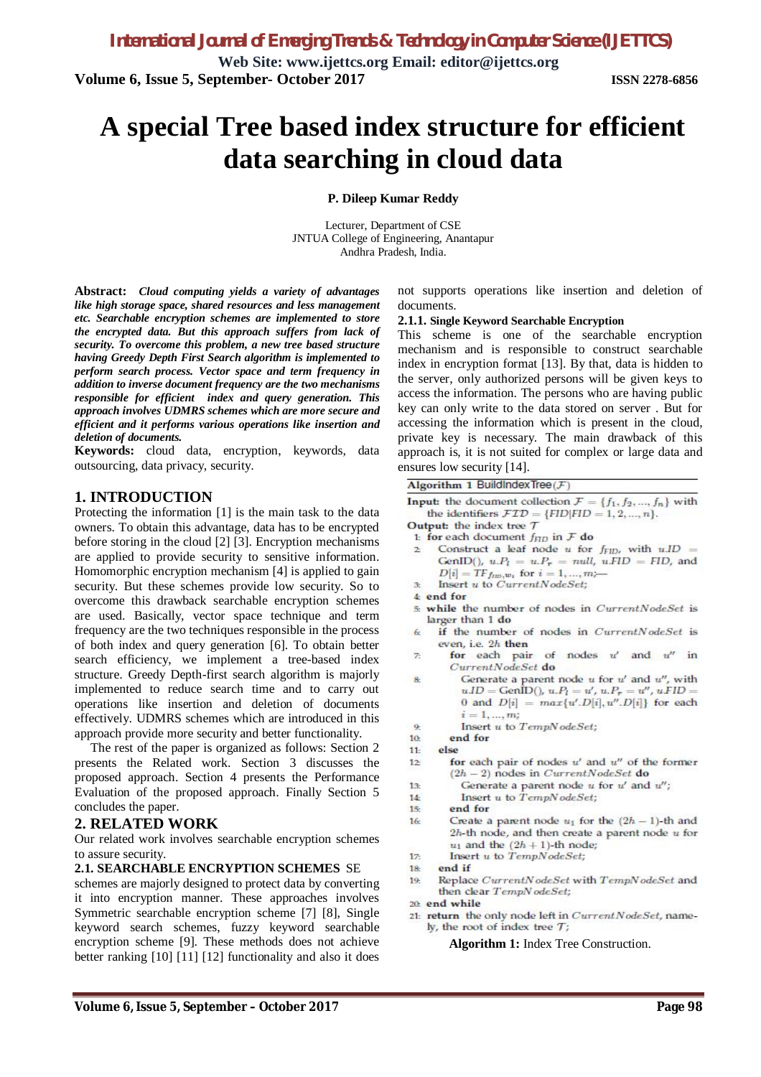**Web Site: www.ijettcs.org Email: editor@ijettcs.org Volume 6, Issue 5, September- October 2017 ISSN 2278-6856**

# **A special Tree based index structure for efficient data searching in cloud data**

#### **P. Dileep Kumar Reddy**

Lecturer, Department of CSE JNTUA College of Engineering, Anantapur Andhra Pradesh, India.

**Abstract:** *Cloud computing yields a variety of advantages like high storage space, shared resources and less management etc. Searchable encryption schemes are implemented to store the encrypted data. But this approach suffers from lack of security. To overcome this problem, a new tree based structure having Greedy Depth First Search algorithm is implemented to perform search process. Vector space and term frequency in addition to inverse document frequency are the two mechanisms responsible for efficient index and query generation. This approach involves UDMRS schemes which are more secure and efficient and it performs various operations like insertion and deletion of documents.*

**Keywords:** cloud data, encryption, keywords, data outsourcing, data privacy, security.

## **1. INTRODUCTION**

Protecting the information [1] is the main task to the data owners. To obtain this advantage, data has to be encrypted before storing in the cloud [2] [3]. Encryption mechanisms are applied to provide security to sensitive information. Homomorphic encryption mechanism [4] is applied to gain security. But these schemes provide low security. So to overcome this drawback searchable encryption schemes are used. Basically, vector space technique and term frequency are the two techniques responsible in the process of both index and query generation [6]. To obtain better search efficiency, we implement a tree-based index structure. Greedy Depth-first search algorithm is majorly implemented to reduce search time and to carry out operations like insertion and deletion of documents effectively. UDMRS schemes which are introduced in this approach provide more security and better functionality.

The rest of the paper is organized as follows: Section 2 presents the Related work. Section 3 discusses the proposed approach. Section 4 presents the Performance Evaluation of the proposed approach. Finally Section 5 concludes the paper.

## **2. RELATED WORK**

Our related work involves searchable encryption schemes to assure security.

#### **2.1. SEARCHABLE ENCRYPTION SCHEMES** SE

schemes are majorly designed to protect data by converting it into encryption manner. These approaches involves Symmetric searchable encryption scheme [7] [8], Single keyword search schemes, fuzzy keyword searchable encryption scheme [9]. These methods does not achieve better ranking [10] [11] [12] functionality and also it does

not supports operations like insertion and deletion of documents.

#### **2.1.1. Single Keyword Searchable Encryption**

This scheme is one of the searchable encryption mechanism and is responsible to construct searchable index in encryption format [13]. By that, data is hidden to the server, only authorized persons will be given keys to access the information. The persons who are having public key can only write to the data stored on server . But for accessing the information which is present in the cloud, private key is necessary. The main drawback of this approach is, it is not suited for complex or large data and ensures low security [14].

Algorithm 1 BuildIndex Tree  $(F)$ 

- **Input:** the document collection  $\mathcal{F} = \{f_1, f_2, ..., f_n\}$  with the identifiers  $\mathcal{FID} = \{FID|FID = 1, 2, ..., n\}.$
- Output: the index tree 7
- 1: for each document  $f_{FID}$  in  $\mathcal F$  do
- Construct a leaf node u for  $f_{\text{FID}}$ , with  $uID =$  $\overline{2}$ GenID(),  $u.P_l = u.P_r = null$ ,  $u.FID = FID$ , and  $D[i] = \overline{TF}_{\mathit{fnm},w_i}$  for  $i = 1,...,m$
- Insert u to CurrentNodeSet;  $\overline{\mathcal{R}}$
- 4 end for
- 5. while the number of nodes in CurrentNodeSet is larger than 1 do
- 6 if the number of nodes in CurrentNodeSet is even, i.e. 2h then
- for each pair of nodes  $u'$  and  $u''$  in  $\mathcal{F}$ CurrentNodeSet do
- Generate a parent node  $u$  for  $u'$  and  $u''$ , with  $\mathbf{R}$  $u.ID = GenID(), u.P_l = u', u.P_r = u'', uFID =$ 0 and  $D[i] = max\{u'.D[i], u''.D[i]\}$  for each  $i = 1, ..., m;$ 
	- Insert u to TempNodeSet;
- $10<sub>2</sub>$ end for
- else  $11$

 $\sigma$ 

- for each pair of nodes  $u'$  and  $u''$  of the former  $12<sup>°</sup>$  $(2h - 2)$  nodes in  $CurrentNodeSet$  do
- $13<sub>c</sub>$ Generate a parent node  $u$  for  $u'$  and  $u''$ ;
- $14$ Insert u to TempNodeSet;
- $15$ end for
- $16<sub>c</sub>$ Create a parent node  $u_1$  for the  $(2h - 1)$ -th and  $2h$ -th node, and then create a parent node  $u$  for  $u_1$  and the  $(2h + 1)$ -th node;
- 17: Insert u to TempNodeSet;
- 18 end if
- Replace CurrentNodeSet with TempNodeSet and  $19$ then clear TempN odeSet;
- 20: end while
- 21: return the only node left in CurrentNodeSet, namely, the root of index tree  $T$ :

**Algorithm 1:** Index Tree Construction.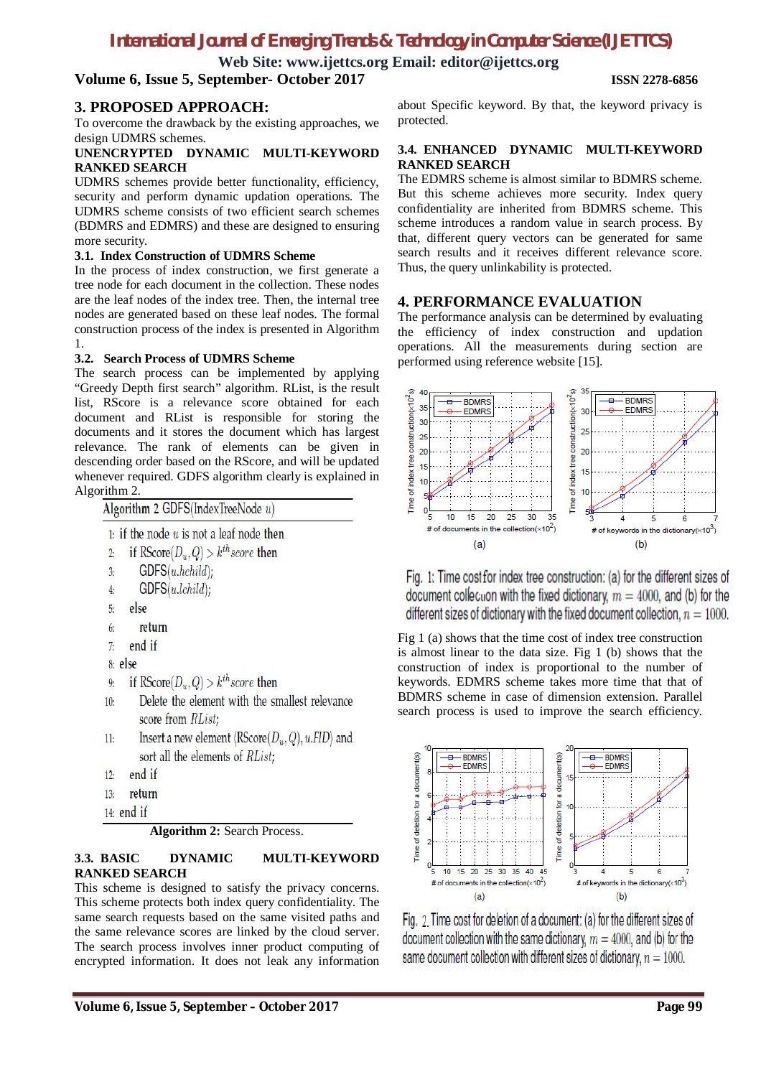# *International Journal of Emerging Trends & Technology in Computer Science (IJETTCS)*

**Web Site: www.ijettcs.org Email: editor@ijettcs.org**

## **Volume 6, Issue 5, September- October 2017 ISSN 2278-6856**

## **3. PROPOSED APPROACH:**

To overcome the drawback by the existing approaches, we design UDMRS schemes.

#### **UNENCRYPTED DYNAMIC MULTI-KEYWORD RANKED SEARCH**

UDMRS schemes provide better functionality, efficiency, security and perform dynamic updation operations. The UDMRS scheme consists of two efficient search schemes (BDMRS and EDMRS) and these are designed to ensuring more security.

#### **3.1. Index Construction of UDMRS Scheme**

In the process of index construction, we first generate a tree node for each document in the collection. These nodes are the leaf nodes of the index tree. Then, the internal tree nodes are generated based on these leaf nodes. The formal construction process of the index is presented in Algorithm 1.

#### **3.2. Search Process of UDMRS Scheme**

The search process can be implemented by applying "Greedy Depth first search" algorithm. RList, is the result list, RScore is a relevance score obtained for each document and RList is responsible for storing the documents and it stores the document which has largest relevance. The rank of elements can be given in descending order based on the RScore, and will be updated whenever required. GDFS algorithm clearly is explained in Algorithm 2.

Algorithm 2 GDFS(IndexTreeNode  $u$ )

| 1: if the node $u$ is not a leaf node then |  |  |  |  |  |  |  |  |  |  |  |
|--------------------------------------------|--|--|--|--|--|--|--|--|--|--|--|
|--------------------------------------------|--|--|--|--|--|--|--|--|--|--|--|

- if RScore $(D_u, Q) > k^{th}$ score then  $\overline{2}$
- $GDFS(u.hchild)$ :  $\overline{3}$
- $GDFS(u. lchild);$  $\overline{4}$
- else  $\overline{5}$
- 6: return
- end if  $\overline{7}$
- 8: else
- if RScore $(D_u, Q) > k^{th}$ score then  $\overline{9}$
- Delete the element with the smallest relevance  $10<sub>1</sub>$ score from RList;
- Insert a new element  $\langle$ RScore $(D_u, Q)$ , u.FID $\rangle$  and  $11<sub>2</sub>$ sort all the elements of RList;
- end if  $12:$
- $13<sub>i</sub>$ return
- 14: end if

**Algorithm 2:** Search Process.

#### **3.3. BASIC DYNAMIC MULTI-KEYWORD RANKED SEARCH**

This scheme is designed to satisfy the privacy concerns. This scheme protects both index query confidentiality. The same search requests based on the same visited paths and the same relevance scores are linked by the cloud server. The search process involves inner product computing of encrypted information. It does not leak any information

about Specific keyword. By that, the keyword privacy is protected.

#### **3.4. ENHANCED DYNAMIC MULTI-KEYWORD RANKED SEARCH**

The EDMRS scheme is almost similar to BDMRS scheme. But this scheme achieves more security. Index query confidentiality are inherited from BDMRS scheme. This scheme introduces a random value in search process. By that, different query vectors can be generated for same search results and it receives different relevance score. Thus, the query unlinkability is protected.

## **4. PERFORMANCE EVALUATION**

The performance analysis can be determined by evaluating the efficiency of index construction and updation operations. All the measurements during section are performed using reference website [15].



Fig. 1: Time cost for index tree construction: (a) for the different sizes of document collection with the fixed dictionary,  $m = 4000$ , and (b) for the different sizes of dictionary with the fixed document collection,  $n = 1000$ .

Fig 1 (a) shows that the time cost of index tree construction is almost linear to the data size. Fig 1 (b) shows that the construction of index is proportional to the number of keywords. EDMRS scheme takes more time that that of BDMRS scheme in case of dimension extension. Parallel search process is used to improve the search efficiency.



Fig. 2. Time cost for deletion of a document: (a) for the different sizes of document collection with the same dictionary,  $m = 4000$ , and (b) for the same document collection with different sizes of dictionary,  $n = 1000$ .